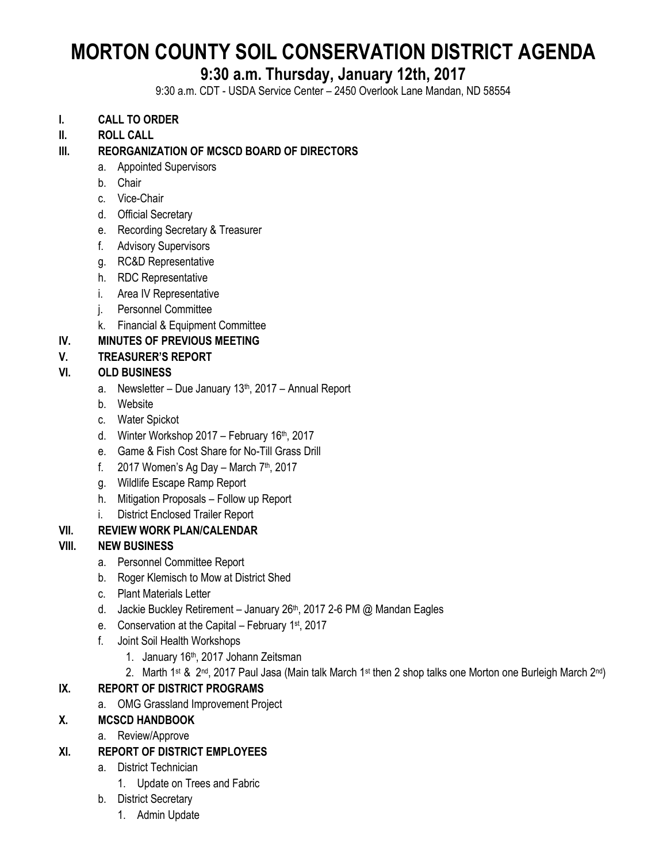# **MORTON COUNTY SOIL CONSERVATION DISTRICT AGENDA**

# **9:30 a.m. Thursday, January 12th, 2017**

9:30 a.m. CDT - USDA Service Center – 2450 Overlook Lane Mandan, ND 58554

#### **I. CALL TO ORDER**

**II. ROLL CALL**

#### **III. REORGANIZATION OF MCSCD BOARD OF DIRECTORS**

- a. Appointed Supervisors
- b. Chair
- c. Vice-Chair
- d. Official Secretary
- e. Recording Secretary & Treasurer
- f. Advisory Supervisors
- g. RC&D Representative
- h. RDC Representative
- i. Area IV Representative
- j. Personnel Committee
- k. Financial & Equipment Committee

#### **IV. MINUTES OF PREVIOUS MEETING**

#### **V. TREASURER'S REPORT**

#### **VI. OLD BUSINESS**

- a. Newsletter Due January  $13<sup>th</sup>$ , 2017 Annual Report
- b. Website
- c. Water Spickot
- d. Winter Workshop  $2017$  February  $16<sup>th</sup>$ , 2017
- e. Game & Fish Cost Share for No-Till Grass Drill
- f. 2017 Women's Ag Day March  $7<sup>th</sup>$ , 2017
- g. Wildlife Escape Ramp Report
- h. Mitigation Proposals Follow up Report
- i. District Enclosed Trailer Report

#### **VII. REVIEW WORK PLAN/CALENDAR**

#### **VIII. NEW BUSINESS**

- a. Personnel Committee Report
- b. Roger Klemisch to Mow at District Shed
- c. Plant Materials Letter
- d. Jackie Buckley Retirement January 26<sup>th</sup>, 2017 2-6 PM @ Mandan Eagles
- e. Conservation at the Capital February 1<sup>st</sup>, 2017
- f. Joint Soil Health Workshops
	- 1. January 16th, 2017 Johann Zeitsman
	- 2. Marth 1<sup>st</sup> & 2<sup>nd</sup>, 2017 Paul Jasa (Main talk March 1<sup>st</sup> then 2 shop talks one Morton one Burleigh March 2<sup>nd</sup>)

## **IX. REPORT OF DISTRICT PROGRAMS**

- a. OMG Grassland Improvement Project
- **X. MCSCD HANDBOOK**
	- a. Review/Approve
- **XI. REPORT OF DISTRICT EMPLOYEES**
	- a. District Technician
		- 1. Update on Trees and Fabric
	- b. District Secretary
		- 1. Admin Update